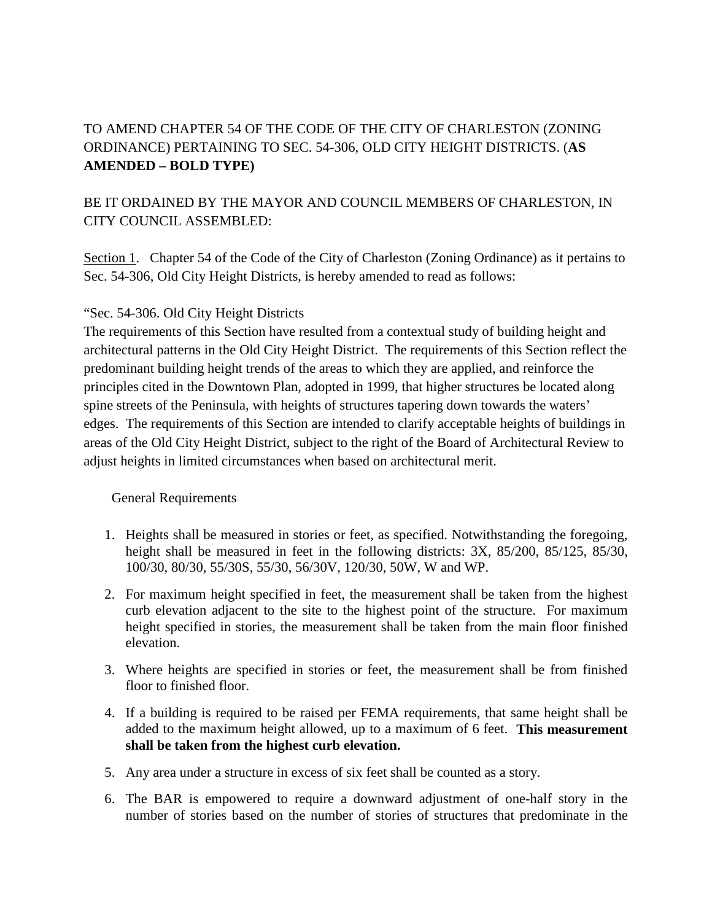# TO AMEND CHAPTER 54 OF THE CODE OF THE CITY OF CHARLESTON (ZONING ORDINANCE) PERTAINING TO SEC. 54-306, OLD CITY HEIGHT DISTRICTS. (**AS AMENDED – BOLD TYPE)**

# BE IT ORDAINED BY THE MAYOR AND COUNCIL MEMBERS OF CHARLESTON, IN CITY COUNCIL ASSEMBLED:

Section 1. Chapter 54 of the Code of the City of Charleston (Zoning Ordinance) as it pertains to Sec. 54-306, Old City Height Districts, is hereby amended to read as follows:

# "Sec. 54-306. Old City Height Districts

The requirements of this Section have resulted from a contextual study of building height and architectural patterns in the Old City Height District. The requirements of this Section reflect the predominant building height trends of the areas to which they are applied, and reinforce the principles cited in the Downtown Plan, adopted in 1999, that higher structures be located along spine streets of the Peninsula, with heights of structures tapering down towards the waters' edges. The requirements of this Section are intended to clarify acceptable heights of buildings in areas of the Old City Height District, subject to the right of the Board of Architectural Review to adjust heights in limited circumstances when based on architectural merit.

# General Requirements

- 1. Heights shall be measured in stories or feet, as specified. Notwithstanding the foregoing, height shall be measured in feet in the following districts: 3X, 85/200, 85/125, 85/30, 100/30, 80/30, 55/30S, 55/30, 56/30V, 120/30, 50W, W and WP.
- 2. For maximum height specified in feet, the measurement shall be taken from the highest curb elevation adjacent to the site to the highest point of the structure. For maximum height specified in stories, the measurement shall be taken from the main floor finished elevation.
- 3. Where heights are specified in stories or feet, the measurement shall be from finished floor to finished floor.
- 4. If a building is required to be raised per FEMA requirements, that same height shall be added to the maximum height allowed, up to a maximum of 6 feet. **This measurement shall be taken from the highest curb elevation.**
- 5. Any area under a structure in excess of six feet shall be counted as a story.
- 6. The BAR is empowered to require a downward adjustment of one-half story in the number of stories based on the number of stories of structures that predominate in the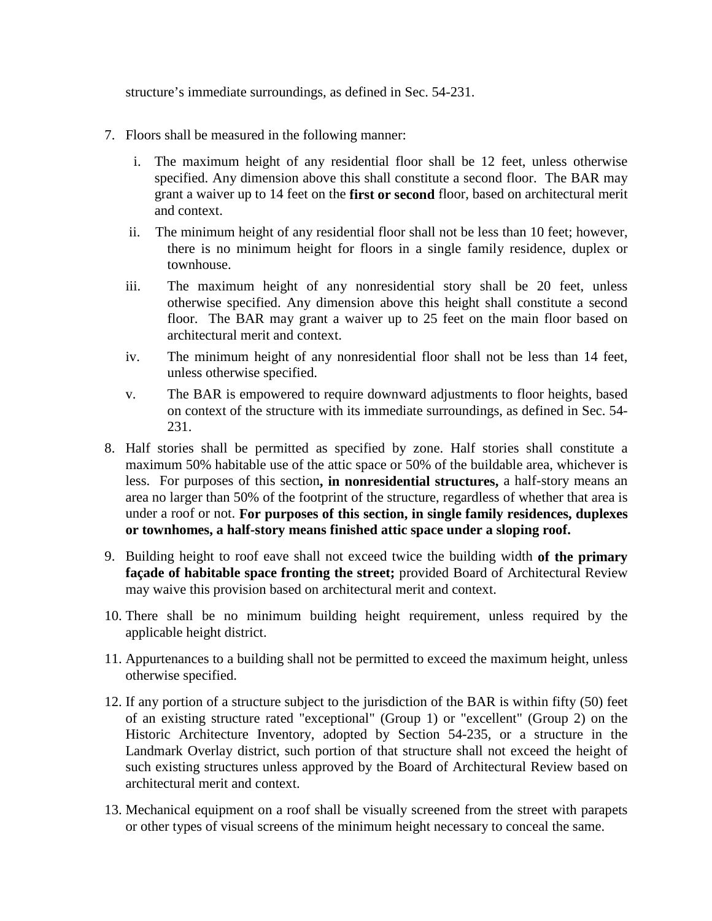structure's immediate surroundings, as defined in Sec. 54-231.

- 7. Floors shall be measured in the following manner:
	- i. The maximum height of any residential floor shall be 12 feet, unless otherwise specified. Any dimension above this shall constitute a second floor. The BAR may grant a waiver up to 14 feet on the **first or second** floor, based on architectural merit and context.
	- ii. The minimum height of any residential floor shall not be less than 10 feet; however, there is no minimum height for floors in a single family residence, duplex or townhouse.
	- iii. The maximum height of any nonresidential story shall be 20 feet, unless otherwise specified. Any dimension above this height shall constitute a second floor. The BAR may grant a waiver up to 25 feet on the main floor based on architectural merit and context.
	- iv. The minimum height of any nonresidential floor shall not be less than 14 feet, unless otherwise specified.
	- v. The BAR is empowered to require downward adjustments to floor heights, based on context of the structure with its immediate surroundings, as defined in Sec. 54- 231.
- 8. Half stories shall be permitted as specified by zone. Half stories shall constitute a maximum 50% habitable use of the attic space or 50% of the buildable area, whichever is less. For purposes of this section**, in nonresidential structures,** a half-story means an area no larger than 50% of the footprint of the structure, regardless of whether that area is under a roof or not. **For purposes of this section, in single family residences, duplexes or townhomes, a half-story means finished attic space under a sloping roof.**
- 9. Building height to roof eave shall not exceed twice the building width **of the primary façade of habitable space fronting the street;** provided Board of Architectural Review may waive this provision based on architectural merit and context.
- 10. There shall be no minimum building height requirement, unless required by the applicable height district.
- 11. Appurtenances to a building shall not be permitted to exceed the maximum height, unless otherwise specified.
- 12. If any portion of a structure subject to the jurisdiction of the BAR is within fifty (50) feet of an existing structure rated "exceptional" (Group 1) or "excellent" (Group 2) on the Historic Architecture Inventory, adopted by Section 54-235, or a structure in the Landmark Overlay district, such portion of that structure shall not exceed the height of such existing structures unless approved by the Board of Architectural Review based on architectural merit and context.
- 13. Mechanical equipment on a roof shall be visually screened from the street with parapets or other types of visual screens of the minimum height necessary to conceal the same.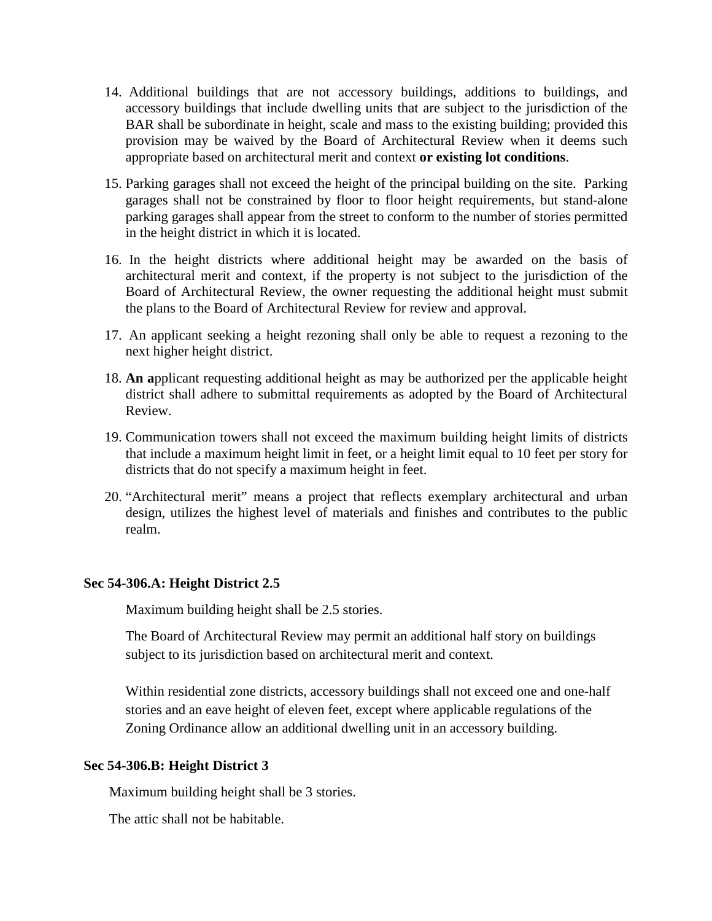- 14. Additional buildings that are not accessory buildings, additions to buildings, and accessory buildings that include dwelling units that are subject to the jurisdiction of the BAR shall be subordinate in height, scale and mass to the existing building; provided this provision may be waived by the Board of Architectural Review when it deems such appropriate based on architectural merit and context **or existing lot conditions**.
- 15. Parking garages shall not exceed the height of the principal building on the site. Parking garages shall not be constrained by floor to floor height requirements, but stand-alone parking garages shall appear from the street to conform to the number of stories permitted in the height district in which it is located.
- 16. In the height districts where additional height may be awarded on the basis of architectural merit and context, if the property is not subject to the jurisdiction of the Board of Architectural Review, the owner requesting the additional height must submit the plans to the Board of Architectural Review for review and approval.
- 17. An applicant seeking a height rezoning shall only be able to request a rezoning to the next higher height district.
- 18. **An a**pplicant requesting additional height as may be authorized per the applicable height district shall adhere to submittal requirements as adopted by the Board of Architectural Review.
- 19. Communication towers shall not exceed the maximum building height limits of districts that include a maximum height limit in feet, or a height limit equal to 10 feet per story for districts that do not specify a maximum height in feet.
- 20. "Architectural merit" means a project that reflects exemplary architectural and urban design, utilizes the highest level of materials and finishes and contributes to the public realm.

### **Sec 54-306.A: Height District 2.5**

Maximum building height shall be 2.5 stories.

The Board of Architectural Review may permit an additional half story on buildings subject to its jurisdiction based on architectural merit and context.

Within residential zone districts, accessory buildings shall not exceed one and one-half stories and an eave height of eleven feet, except where applicable regulations of the Zoning Ordinance allow an additional dwelling unit in an accessory building.

### **Sec 54-306.B: Height District 3**

Maximum building height shall be 3 stories.

The attic shall not be habitable.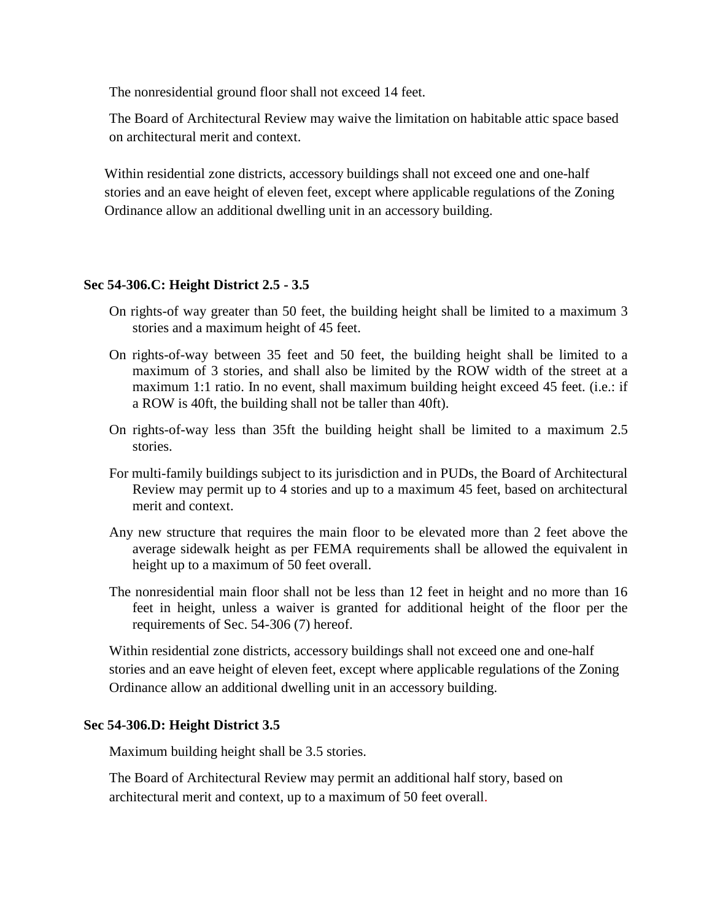The nonresidential ground floor shall not exceed 14 feet.

The Board of Architectural Review may waive the limitation on habitable attic space based on architectural merit and context.

Within residential zone districts, accessory buildings shall not exceed one and one-half stories and an eave height of eleven feet, except where applicable regulations of the Zoning Ordinance allow an additional dwelling unit in an accessory building.

### **Sec 54-306.C: Height District 2.5 - 3.5**

- On rights-of way greater than 50 feet, the building height shall be limited to a maximum 3 stories and a maximum height of 45 feet.
- On rights-of-way between 35 feet and 50 feet, the building height shall be limited to a maximum of 3 stories, and shall also be limited by the ROW width of the street at a maximum 1:1 ratio. In no event, shall maximum building height exceed 45 feet. (i.e.: if a ROW is 40ft, the building shall not be taller than 40ft).
- On rights-of-way less than 35ft the building height shall be limited to a maximum 2.5 stories.
- For multi-family buildings subject to its jurisdiction and in PUDs, the Board of Architectural Review may permit up to 4 stories and up to a maximum 45 feet, based on architectural merit and context.
- Any new structure that requires the main floor to be elevated more than 2 feet above the average sidewalk height as per FEMA requirements shall be allowed the equivalent in height up to a maximum of 50 feet overall.
- The nonresidential main floor shall not be less than 12 feet in height and no more than 16 feet in height, unless a waiver is granted for additional height of the floor per the requirements of Sec. 54-306 (7) hereof.

Within residential zone districts, accessory buildings shall not exceed one and one-half stories and an eave height of eleven feet, except where applicable regulations of the Zoning Ordinance allow an additional dwelling unit in an accessory building.

### **Sec 54-306.D: Height District 3.5**

Maximum building height shall be 3.5 stories.

The Board of Architectural Review may permit an additional half story, based on architectural merit and context, up to a maximum of 50 feet overall.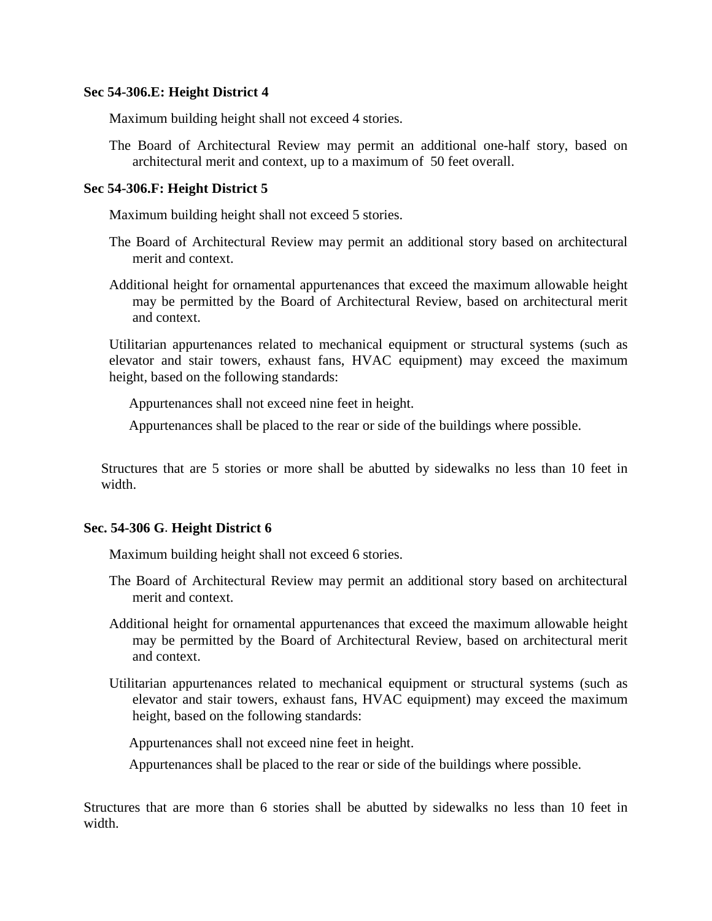#### **Sec 54-306.E: Height District 4**

Maximum building height shall not exceed 4 stories.

The Board of Architectural Review may permit an additional one-half story, based on architectural merit and context, up to a maximum of 50 feet overall.

#### **Sec 54-306.F: Height District 5**

Maximum building height shall not exceed 5 stories.

- The Board of Architectural Review may permit an additional story based on architectural merit and context.
- Additional height for ornamental appurtenances that exceed the maximum allowable height may be permitted by the Board of Architectural Review, based on architectural merit and context.

Utilitarian appurtenances related to mechanical equipment or structural systems (such as elevator and stair towers, exhaust fans, HVAC equipment) may exceed the maximum height, based on the following standards:

Appurtenances shall not exceed nine feet in height.

Appurtenances shall be placed to the rear or side of the buildings where possible.

Structures that are 5 stories or more shall be abutted by sidewalks no less than 10 feet in width.

### **Sec. 54-306 G**. **Height District 6**

Maximum building height shall not exceed 6 stories.

- The Board of Architectural Review may permit an additional story based on architectural merit and context.
- Additional height for ornamental appurtenances that exceed the maximum allowable height may be permitted by the Board of Architectural Review, based on architectural merit and context.
- Utilitarian appurtenances related to mechanical equipment or structural systems (such as elevator and stair towers, exhaust fans, HVAC equipment) may exceed the maximum height, based on the following standards:

Appurtenances shall not exceed nine feet in height.

Appurtenances shall be placed to the rear or side of the buildings where possible.

Structures that are more than 6 stories shall be abutted by sidewalks no less than 10 feet in width.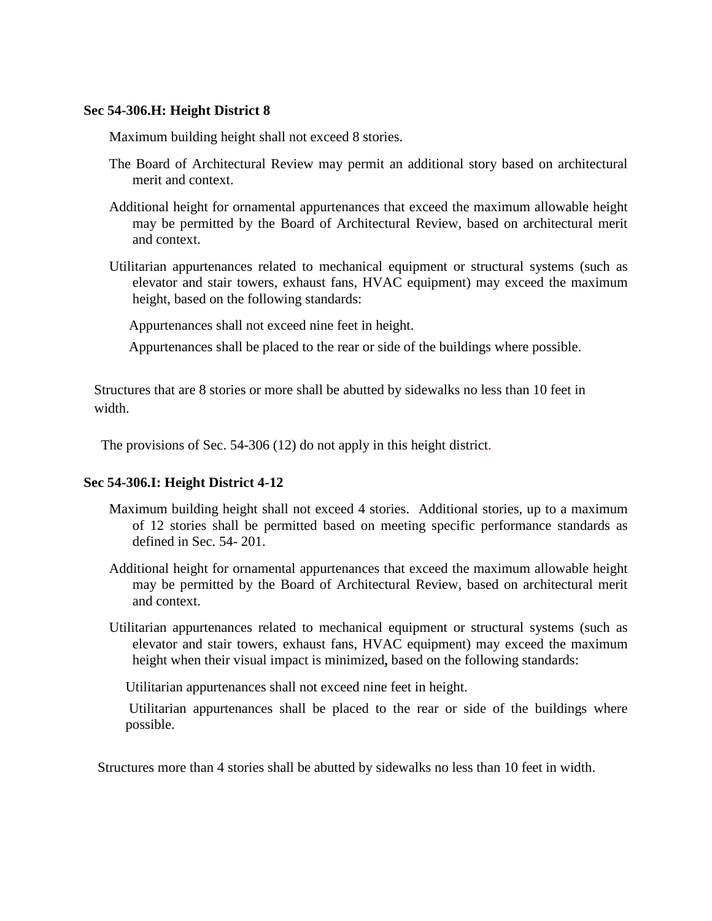#### **Sec 54-306.H: Height District 8**

Maximum building height shall not exceed 8 stories.

- The Board of Architectural Review may permit an additional story based on architectural merit and context.
- Additional height for ornamental appurtenances that exceed the maximum allowable height may be permitted by the Board of Architectural Review, based on architectural merit and context.
- Utilitarian appurtenances related to mechanical equipment or structural systems (such as elevator and stair towers, exhaust fans, HVAC equipment) may exceed the maximum height, based on the following standards:

Appurtenances shall not exceed nine feet in height.

Appurtenances shall be placed to the rear or side of the buildings where possible.

Structures that are 8 stories or more shall be abutted by sidewalks no less than 10 feet in width.

The provisions of Sec. 54-306 (12) do not apply in this height district.

### **Sec 54-306.I: Height District 4-12**

- Maximum building height shall not exceed 4 stories. Additional stories, up to a maximum of 12 stories shall be permitted based on meeting specific performance standards as defined in Sec. 54- 201.
- Additional height for ornamental appurtenances that exceed the maximum allowable height may be permitted by the Board of Architectural Review, based on architectural merit and context.
- Utilitarian appurtenances related to mechanical equipment or structural systems (such as elevator and stair towers, exhaust fans, HVAC equipment) may exceed the maximum height when their visual impact is minimized**,** based on the following standards:

Utilitarian appurtenances shall not exceed nine feet in height.

Utilitarian appurtenances shall be placed to the rear or side of the buildings where possible.

Structures more than 4 stories shall be abutted by sidewalks no less than 10 feet in width.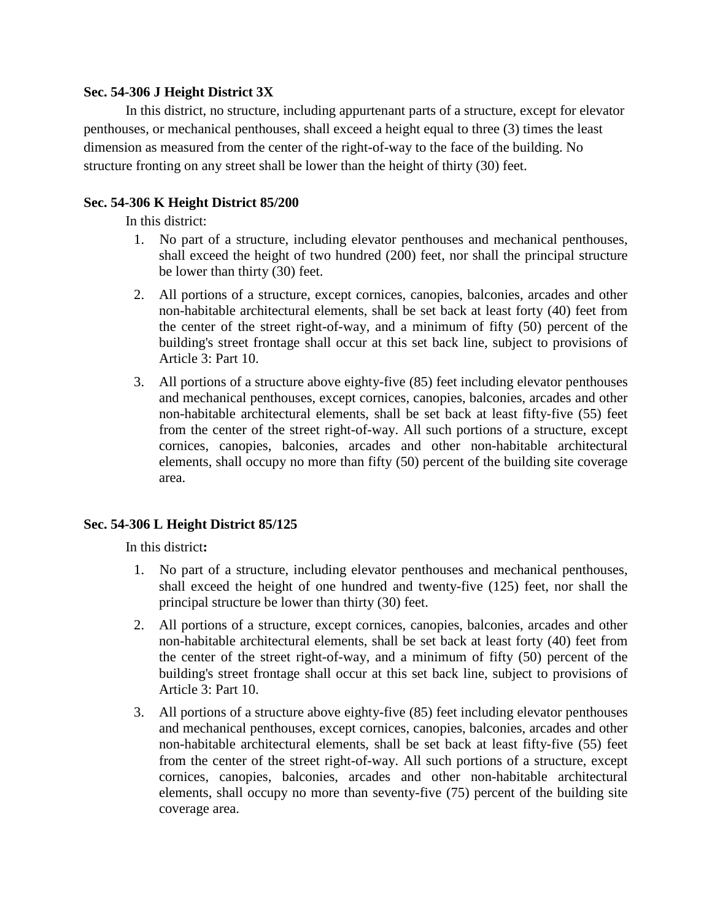### **Sec. 54-306 J Height District 3X**

In this district, no structure, including appurtenant parts of a structure, except for elevator penthouses, or mechanical penthouses, shall exceed a height equal to three (3) times the least dimension as measured from the center of the right-of-way to the face of the building. No structure fronting on any street shall be lower than the height of thirty (30) feet.

# **Sec. 54-306 K Height District 85/200**

In this district:

- 1. No part of a structure, including elevator penthouses and mechanical penthouses, shall exceed the height of two hundred (200) feet, nor shall the principal structure be lower than thirty (30) feet.
- 2. All portions of a structure, except cornices, canopies, balconies, arcades and other non-habitable architectural elements, shall be set back at least forty (40) feet from the center of the street right-of-way, and a minimum of fifty (50) percent of the building's street frontage shall occur at this set back line, subject to provisions of Article 3: Part 10.
- 3. All portions of a structure above eighty-five (85) feet including elevator penthouses and mechanical penthouses, except cornices, canopies, balconies, arcades and other non-habitable architectural elements, shall be set back at least fifty-five (55) feet from the center of the street right-of-way. All such portions of a structure, except cornices, canopies, balconies, arcades and other non-habitable architectural elements, shall occupy no more than fifty (50) percent of the building site coverage area.

# **Sec. 54-306 L Height District 85/125**

In this district**:**

- 1.No part of a structure, including elevator penthouses and mechanical penthouses, shall exceed the height of one hundred and twenty-five (125) feet, nor shall the principal structure be lower than thirty (30) feet.
- 2. All portions of a structure, except cornices, canopies, balconies, arcades and other non-habitable architectural elements, shall be set back at least forty (40) feet from the center of the street right-of-way, and a minimum of fifty (50) percent of the building's street frontage shall occur at this set back line, subject to provisions of Article 3: Part 10.
- 3. All portions of a structure above eighty-five (85) feet including elevator penthouses and mechanical penthouses, except cornices, canopies, balconies, arcades and other non-habitable architectural elements, shall be set back at least fifty-five (55) feet from the center of the street right-of-way. All such portions of a structure, except cornices, canopies, balconies, arcades and other non-habitable architectural elements, shall occupy no more than seventy-five (75) percent of the building site coverage area.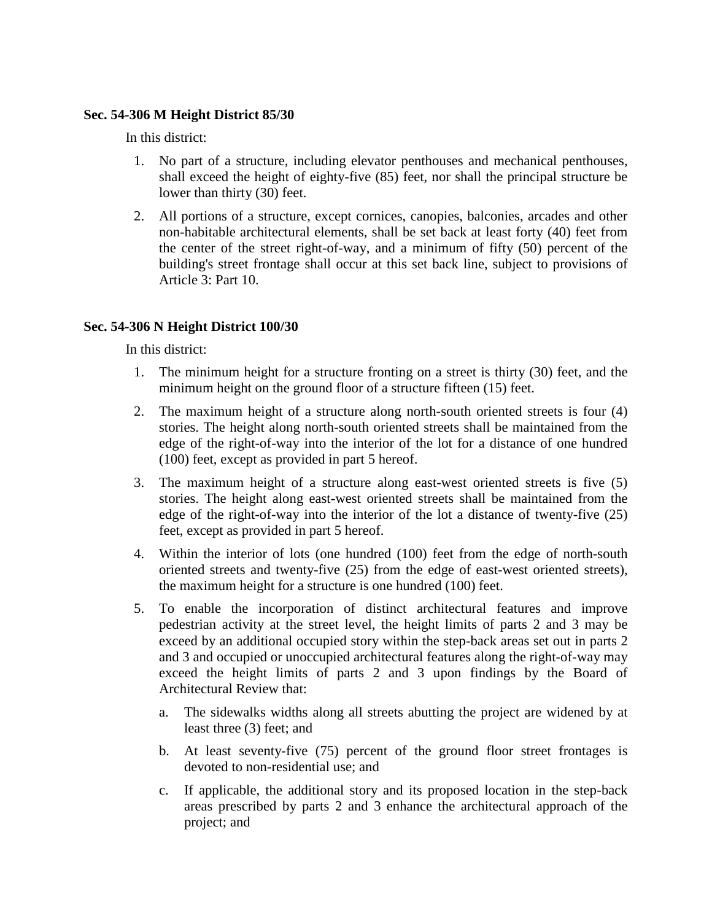### **Sec. 54-306 M Height District 85/30**

In this district:

- 1. No part of a structure, including elevator penthouses and mechanical penthouses, shall exceed the height of eighty-five (85) feet, nor shall the principal structure be lower than thirty (30) feet.
- 2. All portions of a structure, except cornices, canopies, balconies, arcades and other non-habitable architectural elements, shall be set back at least forty (40) feet from the center of the street right-of-way, and a minimum of fifty (50) percent of the building's street frontage shall occur at this set back line, subject to provisions of Article 3: Part 10.

# **Sec. 54-306 N Height District 100/30**

In this district:

- 1. The minimum height for a structure fronting on a street is thirty (30) feet, and the minimum height on the ground floor of a structure fifteen (15) feet.
- 2. The maximum height of a structure along north-south oriented streets is four (4) stories. The height along north-south oriented streets shall be maintained from the edge of the right-of-way into the interior of the lot for a distance of one hundred (100) feet, except as provided in part 5 hereof.
- 3. The maximum height of a structure along east-west oriented streets is five (5) stories. The height along east-west oriented streets shall be maintained from the edge of the right-of-way into the interior of the lot a distance of twenty-five (25) feet, except as provided in part 5 hereof.
- 4. Within the interior of lots (one hundred (100) feet from the edge of north-south oriented streets and twenty-five (25) from the edge of east-west oriented streets), the maximum height for a structure is one hundred (100) feet.
- 5. To enable the incorporation of distinct architectural features and improve pedestrian activity at the street level, the height limits of parts 2 and 3 may be exceed by an additional occupied story within the step-back areas set out in parts 2 and 3 and occupied or unoccupied architectural features along the right-of-way may exceed the height limits of parts 2 and 3 upon findings by the Board of Architectural Review that:
	- a. The sidewalks widths along all streets abutting the project are widened by at least three (3) feet; and
	- b. At least seventy-five (75) percent of the ground floor street frontages is devoted to non-residential use; and
	- c. If applicable, the additional story and its proposed location in the step-back areas prescribed by parts 2 and 3 enhance the architectural approach of the project; and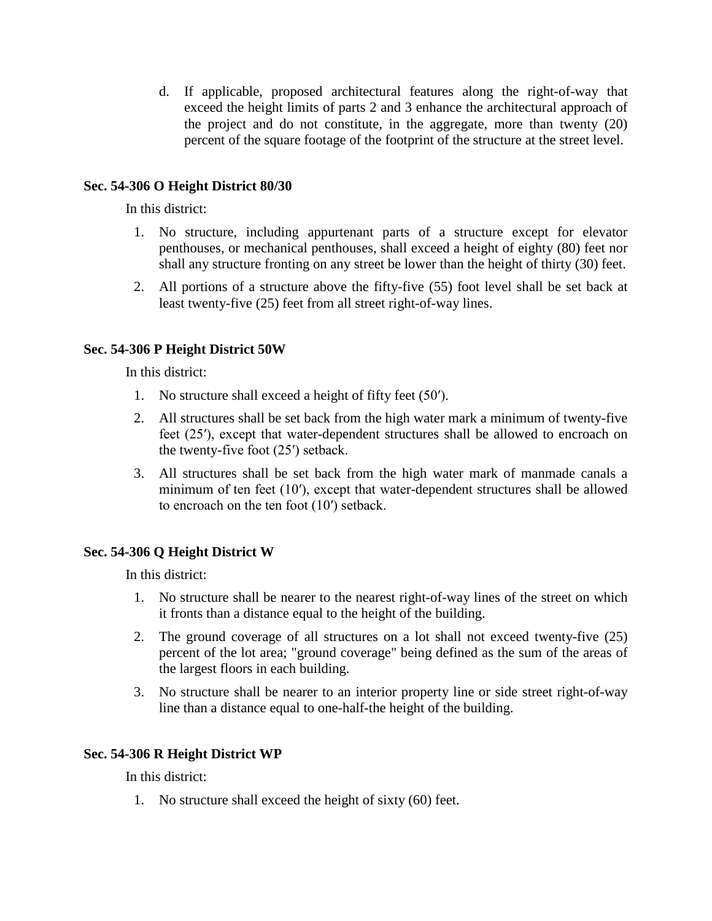d. If applicable, proposed architectural features along the right-of-way that exceed the height limits of parts 2 and 3 enhance the architectural approach of the project and do not constitute, in the aggregate, more than twenty (20) percent of the square footage of the footprint of the structure at the street level.

## **Sec. 54-306 O Height District 80/30**

In this district:

- 1. No structure, including appurtenant parts of a structure except for elevator penthouses, or mechanical penthouses, shall exceed a height of eighty (80) feet nor shall any structure fronting on any street be lower than the height of thirty (30) feet.
- 2. All portions of a structure above the fifty-five (55) foot level shall be set back at least twenty-five (25) feet from all street right-of-way lines.

### **Sec. 54-306 P Height District 50W**

In this district:

- 1. No structure shall exceed a height of fifty feet (50′).
- 2. All structures shall be set back from the high water mark a minimum of twenty-five feet (25′), except that water-dependent structures shall be allowed to encroach on the twenty-five foot (25′) setback.
- 3. All structures shall be set back from the high water mark of manmade canals a minimum of ten feet (10′), except that water-dependent structures shall be allowed to encroach on the ten foot (10′) setback.

### **Sec. 54-306 Q Height District W**

In this district:

- 1. No structure shall be nearer to the nearest right-of-way lines of the street on which it fronts than a distance equal to the height of the building.
- 2. The ground coverage of all structures on a lot shall not exceed twenty-five (25) percent of the lot area; "ground coverage" being defined as the sum of the areas of the largest floors in each building.
- 3. No structure shall be nearer to an interior property line or side street right-of-way line than a distance equal to one-half-the height of the building.

### **Sec. 54-306 R Height District WP**

In this district:

1. No structure shall exceed the height of sixty (60) feet.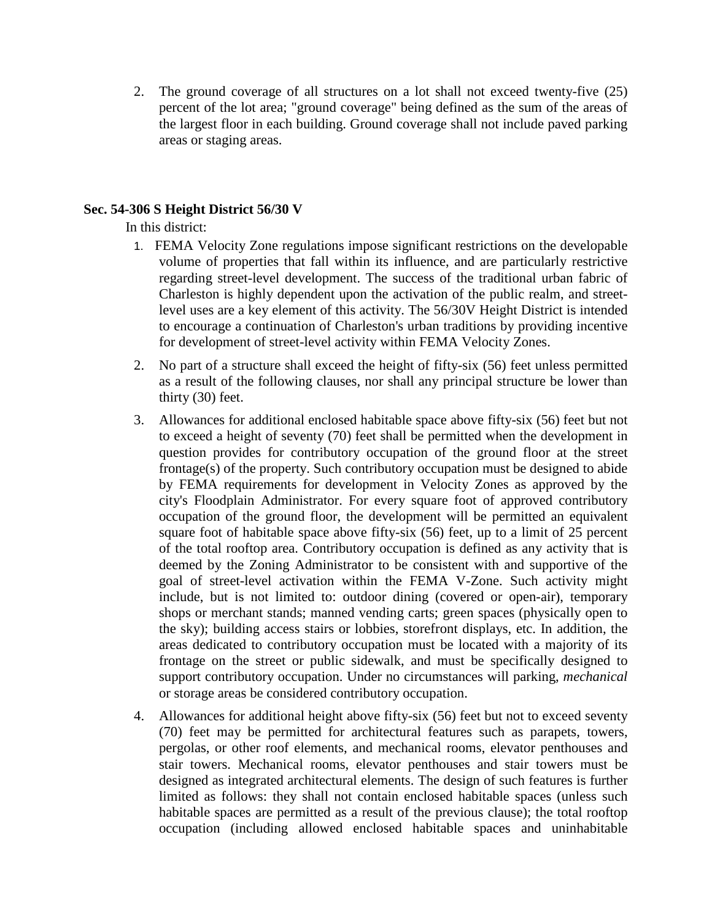2. The ground coverage of all structures on a lot shall not exceed twenty-five (25) percent of the lot area; "ground coverage" being defined as the sum of the areas of the largest floor in each building. Ground coverage shall not include paved parking areas or staging areas.

### **Sec. 54-306 S Height District 56/30 V**

In this district:

- 1. FEMA Velocity Zone regulations impose significant restrictions on the developable volume of properties that fall within its influence, and are particularly restrictive regarding street-level development. The success of the traditional urban fabric of Charleston is highly dependent upon the activation of the public realm, and streetlevel uses are a key element of this activity. The 56/30V Height District is intended to encourage a continuation of Charleston's urban traditions by providing incentive for development of street-level activity within FEMA Velocity Zones.
- 2. No part of a structure shall exceed the height of fifty-six (56) feet unless permitted as a result of the following clauses, nor shall any principal structure be lower than thirty (30) feet.
- 3. Allowances for additional enclosed habitable space above fifty-six (56) feet but not to exceed a height of seventy (70) feet shall be permitted when the development in question provides for contributory occupation of the ground floor at the street frontage(s) of the property. Such contributory occupation must be designed to abide by FEMA requirements for development in Velocity Zones as approved by the city's Floodplain Administrator. For every square foot of approved contributory occupation of the ground floor, the development will be permitted an equivalent square foot of habitable space above fifty-six (56) feet, up to a limit of 25 percent of the total rooftop area. Contributory occupation is defined as any activity that is deemed by the Zoning Administrator to be consistent with and supportive of the goal of street-level activation within the FEMA V-Zone. Such activity might include, but is not limited to: outdoor dining (covered or open-air), temporary shops or merchant stands; manned vending carts; green spaces (physically open to the sky); building access stairs or lobbies, storefront displays, etc. In addition, the areas dedicated to contributory occupation must be located with a majority of its frontage on the street or public sidewalk, and must be specifically designed to support contributory occupation. Under no circumstances will parking, *mechanical* or storage areas be considered contributory occupation.
- 4. Allowances for additional height above fifty-six (56) feet but not to exceed seventy (70) feet may be permitted for architectural features such as parapets, towers, pergolas, or other roof elements, and mechanical rooms, elevator penthouses and stair towers. Mechanical rooms, elevator penthouses and stair towers must be designed as integrated architectural elements. The design of such features is further limited as follows: they shall not contain enclosed habitable spaces (unless such habitable spaces are permitted as a result of the previous clause); the total rooftop occupation (including allowed enclosed habitable spaces and uninhabitable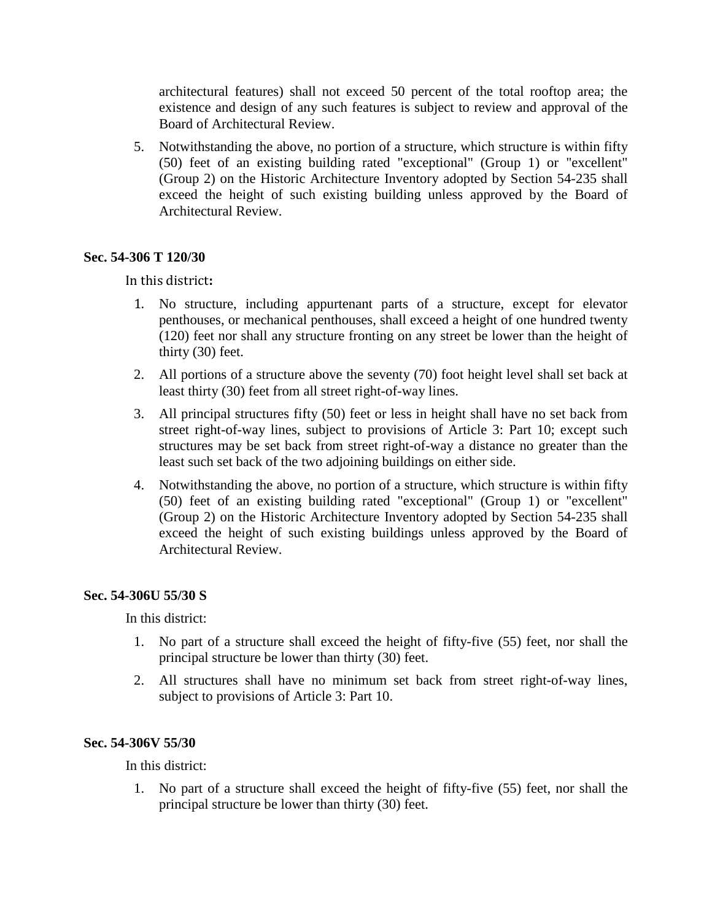architectural features) shall not exceed 50 percent of the total rooftop area; the existence and design of any such features is subject to review and approval of the Board of Architectural Review.

5. Notwithstanding the above, no portion of a structure, which structure is within fifty (50) feet of an existing building rated "exceptional" (Group 1) or "excellent" (Group 2) on the Historic Architecture Inventory adopted by Section 54-235 shall exceed the height of such existing building unless approved by the Board of Architectural Review.

### **Sec. 54-306 T 120/30**

In this district**:**

- 1. No structure, including appurtenant parts of a structure, except for elevator penthouses, or mechanical penthouses, shall exceed a height of one hundred twenty (120) feet nor shall any structure fronting on any street be lower than the height of thirty (30) feet.
- 2. All portions of a structure above the seventy (70) foot height level shall set back at least thirty (30) feet from all street right-of-way lines.
- 3. All principal structures fifty (50) feet or less in height shall have no set back from street right-of-way lines, subject to provisions of Article 3: Part 10; except such structures may be set back from street right-of-way a distance no greater than the least such set back of the two adjoining buildings on either side.
- 4. Notwithstanding the above, no portion of a structure, which structure is within fifty (50) feet of an existing building rated "exceptional" (Group 1) or "excellent" (Group 2) on the Historic Architecture Inventory adopted by Section 54-235 shall exceed the height of such existing buildings unless approved by the Board of Architectural Review.

### **Sec. 54-306U 55/30 S**

In this district:

- 1. No part of a structure shall exceed the height of fifty-five (55) feet, nor shall the principal structure be lower than thirty (30) feet.
- 2. All structures shall have no minimum set back from street right-of-way lines, subject to provisions of Article 3: Part 10.

### **Sec. 54-306V 55/30**

In this district:

1. No part of a structure shall exceed the height of fifty-five (55) feet, nor shall the principal structure be lower than thirty (30) feet.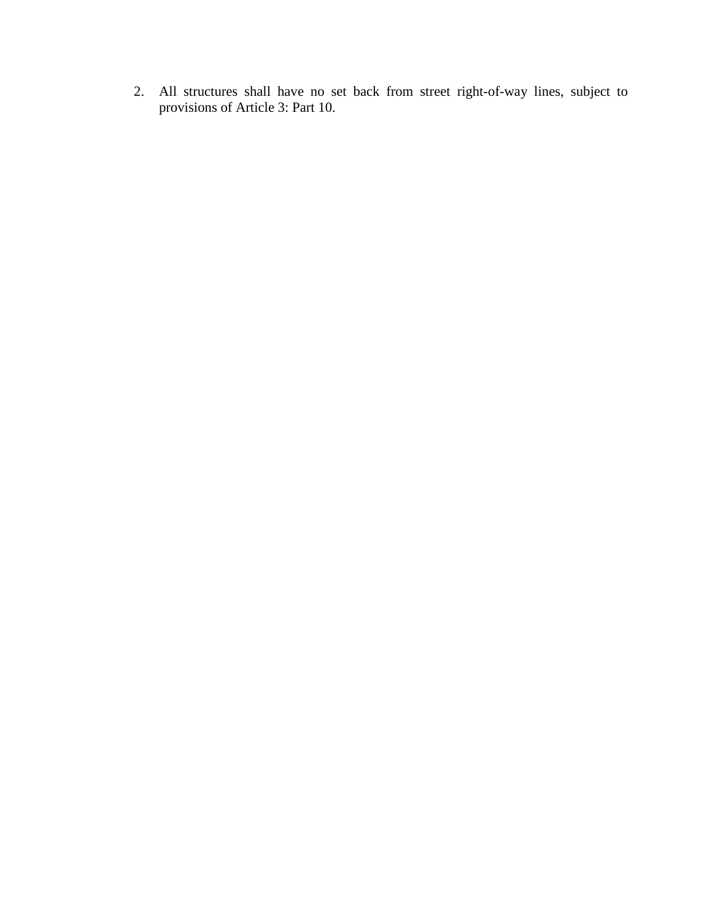2. All structures shall have no set back from street right-of-way lines, subject to provisions of Article 3: Part 10.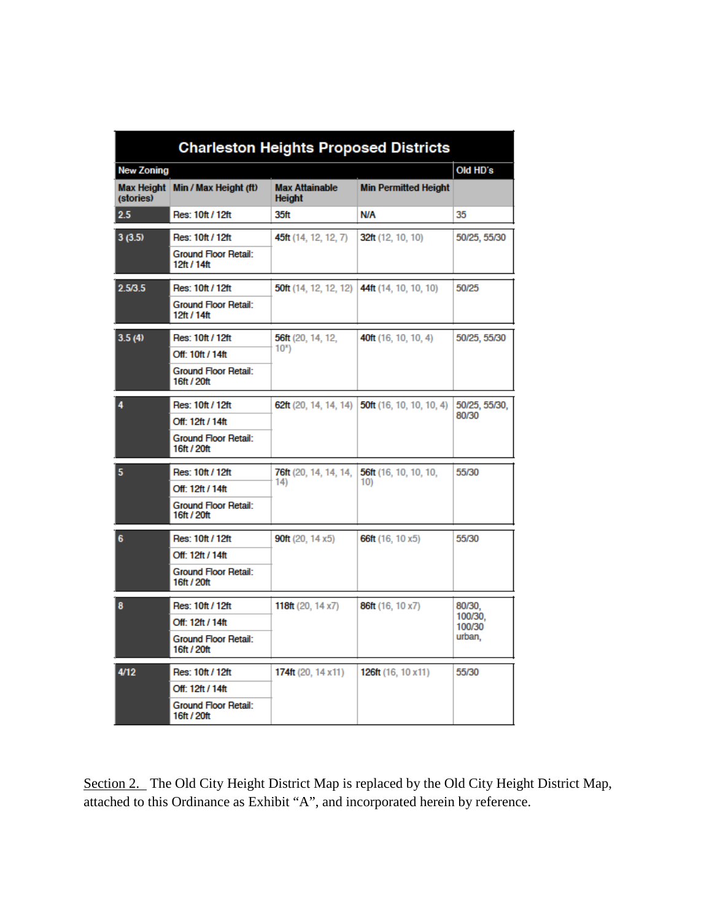| <b>Charleston Heights Proposed Districts</b> |                                                                                    |                                        |                                 |                                       |
|----------------------------------------------|------------------------------------------------------------------------------------|----------------------------------------|---------------------------------|---------------------------------------|
| New Zoning                                   |                                                                                    |                                        |                                 | Old HD's                              |
| Max Height<br>(stories)                      | Min / Max Height (ft)                                                              | <b>Max Attainable</b><br><b>Height</b> | <b>Min Permitted Height</b>     |                                       |
| 2.5                                          | Res: 10ft / 12ft                                                                   | 35ft                                   | <b>N/A</b>                      | 35                                    |
| 3(3.5)                                       | Res: 10ft / 12ft<br><b>Ground Floor Retail:</b><br>12ft / 14ft                     | 45ft (14, 12, 12, 7)                   | 32ft(12, 10, 10)                | 50/25, 55/30                          |
| 2.5/3.5                                      | Res: 10ft / 12ft<br><b>Ground Floor Retail:</b><br>12ft / 14ft                     | <b>50ft</b> (14, 12, 12, 12)           | 44ft (14, 10, 10, 10)           | 50/25                                 |
| 3.5(4)                                       | Res: 10ft / 12ft<br>Off: 10ft / 14ft<br><b>Ground Floor Retail:</b><br>16ft / 20ft | 56ft (20, 14, 12,<br>10 <sup>x</sup>   | 40ft (16, 10, 10, 4)            | 50/25, 55/30                          |
| 4                                            | Res: 10ft / 12ft<br>Off: 12ft / 14ft<br><b>Ground Floor Retail:</b><br>16ft / 20ft | 62ft (20, 14, 14, 14)                  | <b>50ft</b> (16, 10, 10, 10, 4) | 50/25, 55/30,<br>80/30                |
| 5                                            | Res: 10ft / 12ft<br>Off: 12ft / 14ft<br><b>Ground Floor Retail:</b><br>16ft / 20ft | <b>76ft</b> (20, 14, 14, 14,<br>14)    | 56ft (16, 10, 10, 10,<br>10)    | 55/30                                 |
| 6                                            | Res: 10ft / 12ft<br>Off: 12ft / 14ft<br><b>Ground Floor Retail:</b><br>16ft / 20ft | <b>90ft</b> (20, 14 $\times$ 5)        | 66ft (16, 10 x5)                | 55/30                                 |
| 8                                            | Res: 10ft / 12ft<br>Off: 12ft / 14ft<br><b>Ground Floor Retail:</b><br>16ft / 20ft | 118ft $(20, 14x7)$                     | 86ft (16, 10 x7)                | 80/30,<br>100/30.<br>100/30<br>urban, |
| 4/12                                         | Res: 10ft / 12ft<br>Off: 12ft / 14ft<br><b>Ground Floor Retail:</b><br>16ft / 20ft | 174ft (20, 14 $x$ 11)                  | 126ft $(16, 10 \times 11)$      | 55/30                                 |

Section 2. The Old City Height District Map is replaced by the Old City Height District Map, attached to this Ordinance as Exhibit "A", and incorporated herein by reference.